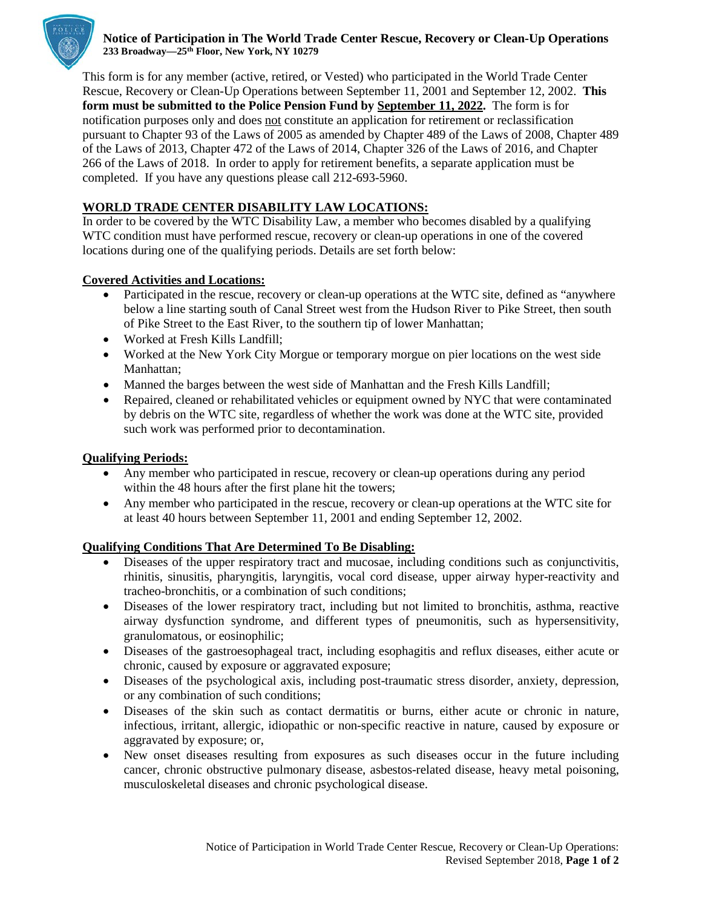

### **Notice of Participation in The World Trade Center Rescue, Recovery or Clean-Up Operations 233 Broadway—25th Floor, New York, NY 10279**

This form is for any member (active, retired, or Vested) who participated in the World Trade Center Rescue, Recovery or Clean-Up Operations between September 11, 2001 and September 12, 2002. **This form must be submitted to the Police Pension Fund by September 11, 2022.** The form is for notification purposes only and does not constitute an application for retirement or reclassification pursuant to Chapter 93 of the Laws of 2005 as amended by Chapter 489 of the Laws of 2008, Chapter 489 of the Laws of 2013, Chapter 472 of the Laws of 2014, Chapter 326 of the Laws of 2016, and Chapter 266 of the Laws of 2018. In order to apply for retirement benefits, a separate application must be completed. If you have any questions please call 212-693-5960.

# **WORLD TRADE CENTER DISABILITY LAW LOCATIONS:**

In order to be covered by the WTC Disability Law, a member who becomes disabled by a qualifying WTC condition must have performed rescue, recovery or clean-up operations in one of the covered locations during one of the qualifying periods. Details are set forth below:

## **Covered Activities and Locations:**

- Participated in the rescue, recovery or clean-up operations at the WTC site, defined as "anywhere" below a line starting south of Canal Street west from the Hudson River to Pike Street, then south of Pike Street to the East River, to the southern tip of lower Manhattan;
- Worked at Fresh Kills Landfill:
- Worked at the New York City Morgue or temporary morgue on pier locations on the west side Manhattan;
- Manned the barges between the west side of Manhattan and the Fresh Kills Landfill;
- Repaired, cleaned or rehabilitated vehicles or equipment owned by NYC that were contaminated by debris on the WTC site, regardless of whether the work was done at the WTC site, provided such work was performed prior to decontamination.

## **Qualifying Periods:**

- Any member who participated in rescue, recovery or clean-up operations during any period within the 48 hours after the first plane hit the towers;
- Any member who participated in the rescue, recovery or clean-up operations at the WTC site for at least 40 hours between September 11, 2001 and ending September 12, 2002.

## **Qualifying Conditions That Are Determined To Be Disabling:**

- Diseases of the upper respiratory tract and mucosae, including conditions such as conjunctivitis, rhinitis, sinusitis, pharyngitis, laryngitis, vocal cord disease, upper airway hyper-reactivity and tracheo-bronchitis, or a combination of such conditions;
- Diseases of the lower respiratory tract, including but not limited to bronchitis, asthma, reactive airway dysfunction syndrome, and different types of pneumonitis, such as hypersensitivity, granulomatous, or eosinophilic;
- Diseases of the gastroesophageal tract, including esophagitis and reflux diseases, either acute or chronic, caused by exposure or aggravated exposure;
- Diseases of the psychological axis, including post-traumatic stress disorder, anxiety, depression, or any combination of such conditions;
- Diseases of the skin such as contact dermatitis or burns, either acute or chronic in nature, infectious, irritant, allergic, idiopathic or non-specific reactive in nature, caused by exposure or aggravated by exposure; or,
- New onset diseases resulting from exposures as such diseases occur in the future including cancer, chronic obstructive pulmonary disease, asbestos-related disease, heavy metal poisoning, musculoskeletal diseases and chronic psychological disease.